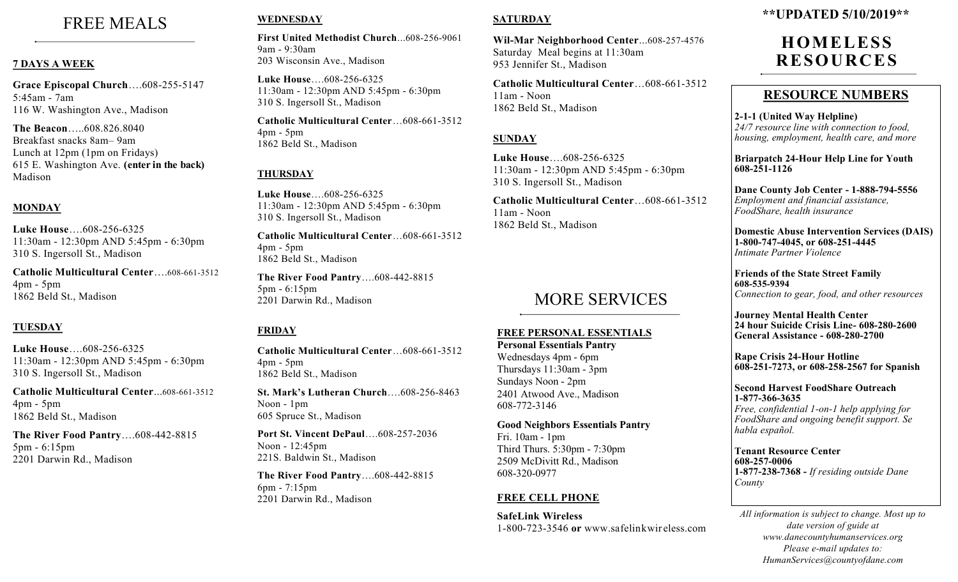# FREE MEALS

### **7 DAYS A WEEK**

**Grace Episcopal Church**….608-255-5147 5:45am - 7am 116 W. Washington Ave., Madison

**The Beacon**…..608.826.8040 Breakfast snacks 8am– 9am Lunch at 12pm (1pm on Fridays) 615 E. Washington Ave. **(enter in the back)** Madison

# **MONDAY**

**Luke House**….608-256-6325 11:30am - 12:30pm AND 5:45pm - 6:30pm 310 S. Ingersoll St., Madison

**Catholic Multicultural Center**….608-661-3512 4pm - 5pm 1862 Beld St., Madison

# **TUESDAY**

**Luke House**….608-256-6325 11:30am - 12:30pm AND 5:45pm - 6:30pm 310 S. Ingersoll St., Madison

**Catholic Multicultural Center**...608-661-3512 4pm - 5pm 1862 Beld St., Madison

**The River Food Pantry**….608-442-8815 5pm - 6:15pm 2201 Darwin Rd., Madison

# **WEDNESDAY**

**First United Methodist Church**...608-256-9061 9am - 9:30am 203 Wisconsin Ave., Madison

**Luke House**….608-256-6325 11:30am - 12:30pm AND 5:45pm - 6:30pm 310 S. Ingersoll St., Madison

**Catholic Multicultural Center**…608-661-3512 4pm - 5pm 1862 Beld St., Madison

# **THURSDAY**

**Luke House**….608-256-6325 11:30am - 12:30pm AND 5:45pm - 6:30pm 310 S. Ingersoll St., Madison

**Catholic Multicultural Center**…608-661-3512 4pm - 5pm 1862 Beld St., Madison

**The River Food Pantry**….608-442-8815 5pm - 6:15pm 2201 Darwin Rd., Madison

#### **FRIDAY**

**Catholic Multicultural Center**…608-661-3512 4pm - 5pm 1862 Beld St., Madison

**St. Mark's Lutheran Church**….608-256-8463 Noon - 1pm 605 Spruce St., Madison

**Port St. Vincent DePaul**….608-257-2036 Noon - 12:45pm 221S. Baldwin St., Madison

**The River Food Pantry**….608-442-8815 6pm - 7:15pm 2201 Darwin Rd., Madison

### **SATURDAY**

**Wil-Mar Neighborhood Center**...608-257-4576 Saturday Meal begins at 11:30am 953 Jennifer St., Madison

**Catholic Multicultural Center**…608-661-3512 11am - Noon 1862 Beld St., Madison

### **SUNDAY**

**Luke House**….608-256-6325 11:30am - 12:30pm AND 5:45pm - 6:30pm 310 S. Ingersoll St., Madison

**Catholic Multicultural Center**…608-661-3512 11am - Noon 1862 Beld St., Madison

# MORE SERVICES

# **FREE PERSONAL ESSENTIALS**

**Personal Essentials Pantry** Wednesdays 4pm - 6pm Thursdays 11:30am - 3pm Sundays Noon - 2pm 2401 Atwood Ave., Madison 608-772-3146

**Good Neighbors Essentials Pantry** Fri. 10am - 1pm Third Thurs. 5:30pm - 7:30pm 2509 McDivitt Rd., Madison 608-320-0977

#### **FREE CELL PHONE**

**SafeLink Wireless** 1-800-723-3546 **or** www.safelinkwir eless.com

# **\*\*UPDATED 5/10/2019\*\***

# **HOMELESS RESOURCE S**

# **RESOURCE NUMBERS**

**2-1-1 (United Way Helpline)** *24/7 resource line with connection to food, housing, employment, health care, and more*

**Briarpatch 24-Hour Help Line for Youth 608-251-1126**

**Dane County Job Center - 1-888-794-5556** *Employment and financial assistance, FoodShare, health insurance*

**Domestic Abuse Intervention Services (DAIS) 1-800-747-4045, or 608-251-4445** *Intimate Partner Violence*

**Friends of the State Street Family 608-535-9394** *Connection to gear, food, and other resources*

**Journey Mental Health Center 24 hour Suicide Crisis Line- 608-280-2600 General Assistance - 608-280-2700**

**Rape Crisis 24-Hour Hotline 608-251-7273, or 608-258-2567 for Spanish**

**Second Harvest FoodShare Outreach 1-877-366-3635**

*Free, confidential 1-on-1 help applying for FoodShare and ongoing benefit support. Se habla español.* 

**Tenant Resource Center 608-257-0006 1-877-238-7368 -** *If residing outside Dane County*

*All information is subject to change. Most up to date version of guide at www.danecountyhumanservices.org Please e-mail updates to: HumanServices@countyofdane.com*